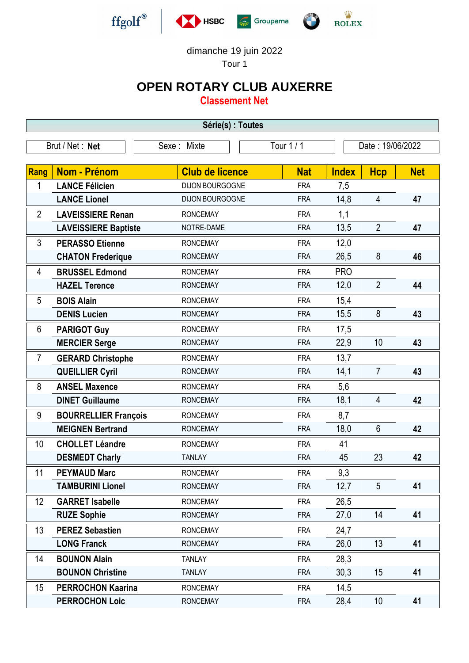

dimanche 19 juin 2022

Tour 1

## **OPEN ROTARY CLUB AUXERRE**

**Classement Net**

| Série(s) : Toutes               |                             |                        |            |                  |                |            |  |
|---------------------------------|-----------------------------|------------------------|------------|------------------|----------------|------------|--|
| Brut / Net: Net<br>Sexe : Mixte |                             |                        | Tour 1 / 1 | Date: 19/06/2022 |                |            |  |
|                                 |                             |                        |            |                  |                |            |  |
| Rang                            | <b>Nom - Prénom</b>         | <b>Club de licence</b> | <b>Nat</b> | <b>Index</b>     | <b>Hcp</b>     | <b>Net</b> |  |
| 1                               | <b>LANCE Félicien</b>       | DIJON BOURGOGNE        | <b>FRA</b> | 7,5              |                |            |  |
|                                 | <b>LANCE Lionel</b>         | DIJON BOURGOGNE        | <b>FRA</b> | 14,8             | $\overline{4}$ | 47         |  |
| $\overline{2}$                  | <b>LAVEISSIERE Renan</b>    | <b>RONCEMAY</b>        | <b>FRA</b> | 1,1              |                |            |  |
|                                 | <b>LAVEISSIERE Baptiste</b> | NOTRE-DAME             | <b>FRA</b> | 13,5             | $\overline{2}$ | 47         |  |
| 3                               | <b>PERASSO Etienne</b>      | <b>RONCEMAY</b>        | <b>FRA</b> | 12,0             |                |            |  |
|                                 | <b>CHATON Frederique</b>    | <b>RONCEMAY</b>        | <b>FRA</b> | 26,5             | 8              | 46         |  |
| 4                               | <b>BRUSSEL Edmond</b>       | <b>RONCEMAY</b>        | <b>FRA</b> | <b>PRO</b>       |                |            |  |
|                                 | <b>HAZEL Terence</b>        | <b>RONCEMAY</b>        | <b>FRA</b> | 12,0             | $\overline{2}$ | 44         |  |
| 5                               | <b>BOIS Alain</b>           | <b>RONCEMAY</b>        | <b>FRA</b> | 15,4             |                |            |  |
|                                 | <b>DENIS Lucien</b>         | <b>RONCEMAY</b>        | <b>FRA</b> | 15,5             | 8              | 43         |  |
| 6                               | <b>PARIGOT Guy</b>          | <b>RONCEMAY</b>        | <b>FRA</b> | 17,5             |                |            |  |
|                                 | <b>MERCIER Serge</b>        | <b>RONCEMAY</b>        | <b>FRA</b> | 22,9             | 10             | 43         |  |
| $\overline{7}$                  | <b>GERARD Christophe</b>    | <b>RONCEMAY</b>        | <b>FRA</b> | 13,7             |                |            |  |
|                                 | <b>QUEILLIER Cyril</b>      | <b>RONCEMAY</b>        | <b>FRA</b> | 14,1             | $\overline{7}$ | 43         |  |
| 8                               | <b>ANSEL Maxence</b>        | <b>RONCEMAY</b>        | <b>FRA</b> | 5,6              |                |            |  |
|                                 | <b>DINET Guillaume</b>      | <b>RONCEMAY</b>        | <b>FRA</b> | 18,1             | 4              | 42         |  |
| 9                               | <b>BOURRELLIER François</b> | <b>RONCEMAY</b>        | <b>FRA</b> | 8,7              |                |            |  |
|                                 | <b>MEIGNEN Bertrand</b>     | <b>RONCEMAY</b>        | <b>FRA</b> | 18,0             | 6              | 42         |  |
| 10                              | <b>CHOLLET Léandre</b>      | <b>RONCEMAY</b>        | <b>FRA</b> | 41               |                |            |  |
|                                 | <b>DESMEDT Charly</b>       | <b>TANLAY</b>          | <b>FRA</b> | 45               | 23             | 42         |  |
| 11                              | <b>PEYMAUD Marc</b>         | <b>RONCEMAY</b>        | <b>FRA</b> | 9,3              |                |            |  |
|                                 | <b>TAMBURINI Lionel</b>     | <b>RONCEMAY</b>        | <b>FRA</b> | 12,7             | 5              | 41         |  |
| 12                              | <b>GARRET Isabelle</b>      | <b>RONCEMAY</b>        | <b>FRA</b> | 26,5             |                |            |  |
|                                 | <b>RUZE Sophie</b>          | <b>RONCEMAY</b>        | <b>FRA</b> | 27,0             | 14             | 41         |  |
| 13                              | <b>PEREZ Sebastien</b>      | <b>RONCEMAY</b>        | <b>FRA</b> | 24,7             |                |            |  |
|                                 | <b>LONG Franck</b>          | <b>RONCEMAY</b>        | <b>FRA</b> | 26,0             | 13             | 41         |  |
| 14                              | <b>BOUNON Alain</b>         | <b>TANLAY</b>          | <b>FRA</b> | 28,3             |                |            |  |
|                                 | <b>BOUNON Christine</b>     | <b>TANLAY</b>          | <b>FRA</b> | 30,3             | 15             | 41         |  |
| 15                              | <b>PERROCHON Kaarina</b>    | <b>RONCEMAY</b>        | <b>FRA</b> | 14,5             |                |            |  |
|                                 | <b>PERROCHON Loic</b>       | <b>RONCEMAY</b>        | <b>FRA</b> | 28,4             | 10             | 41         |  |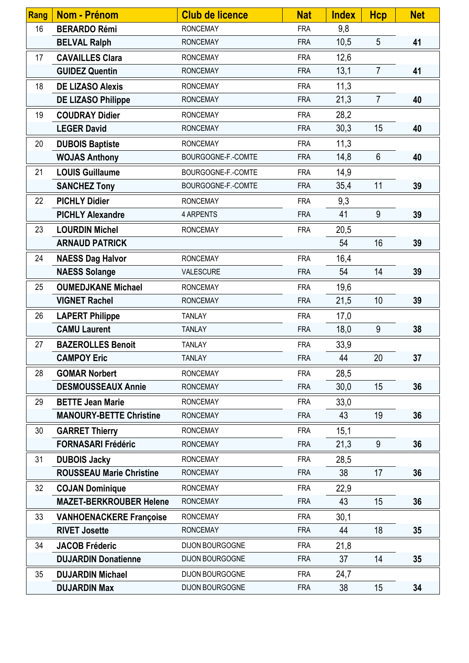| <b>Rang</b> | <b>Nom - Prénom</b>             | <b>Club de licence</b> | <b>Nat</b> | <b>Index</b> | <b>Hcp</b>     | <b>Net</b> |
|-------------|---------------------------------|------------------------|------------|--------------|----------------|------------|
| 16          | <b>BERARDO Rémi</b>             | <b>RONCEMAY</b>        | <b>FRA</b> | 9,8          |                |            |
|             | <b>BELVAL Ralph</b>             | <b>RONCEMAY</b>        | <b>FRA</b> | 10,5         | 5              | 41         |
| 17          | <b>CAVAILLES Clara</b>          | <b>RONCEMAY</b>        | <b>FRA</b> | 12,6         |                |            |
|             | <b>GUIDEZ Quentin</b>           | <b>RONCEMAY</b>        | <b>FRA</b> | 13,1         | $\overline{7}$ | 41         |
| 18          | <b>DE LIZASO Alexis</b>         | <b>RONCEMAY</b>        | <b>FRA</b> | 11,3         |                |            |
|             | <b>DE LIZASO Philippe</b>       | <b>RONCEMAY</b>        | <b>FRA</b> | 21,3         | $\overline{7}$ | 40         |
| 19          | <b>COUDRAY Didier</b>           | <b>RONCEMAY</b>        | <b>FRA</b> | 28,2         |                |            |
|             | <b>LEGER David</b>              | <b>RONCEMAY</b>        | <b>FRA</b> | 30,3         | 15             | 40         |
| 20          | <b>DUBOIS Baptiste</b>          | <b>RONCEMAY</b>        | <b>FRA</b> | 11,3         |                |            |
|             | <b>WOJAS Anthony</b>            | BOURGOGNE-F.-COMTE     | <b>FRA</b> | 14,8         | 6              | 40         |
| 21          | <b>LOUIS Guillaume</b>          | BOURGOGNE-F.-COMTE     | <b>FRA</b> | 14,9         |                |            |
|             | <b>SANCHEZ Tony</b>             | BOURGOGNE-F.-COMTE     | <b>FRA</b> | 35,4         | 11             | 39         |
| 22          | <b>PICHLY Didier</b>            | <b>RONCEMAY</b>        | <b>FRA</b> | 9,3          |                |            |
|             | <b>PICHLY Alexandre</b>         | 4 ARPENTS              | <b>FRA</b> | 41           | 9              | 39         |
| 23          | <b>LOURDIN Michel</b>           | <b>RONCEMAY</b>        | <b>FRA</b> | 20,5         |                |            |
|             | <b>ARNAUD PATRICK</b>           |                        |            | 54           | 16             | 39         |
| 24          | <b>NAESS Dag Halvor</b>         | <b>RONCEMAY</b>        | <b>FRA</b> | 16,4         |                |            |
|             | <b>NAESS Solange</b>            | VALESCURE              | <b>FRA</b> | 54           | 14             | 39         |
| 25          | <b>OUMEDJKANE Michael</b>       | <b>RONCEMAY</b>        | <b>FRA</b> | 19,6         |                |            |
|             | <b>VIGNET Rachel</b>            | <b>RONCEMAY</b>        | <b>FRA</b> | 21,5         | 10             | 39         |
| 26          | <b>LAPERT Philippe</b>          | <b>TANLAY</b>          | <b>FRA</b> | 17,0         |                |            |
|             | <b>CAMU Laurent</b>             | <b>TANLAY</b>          | <b>FRA</b> | 18,0         | 9              | 38         |
| 27          | <b>BAZEROLLES Benoit</b>        | <b>TANLAY</b>          | <b>FRA</b> | 33,9         |                |            |
|             | <b>CAMPOY Eric</b>              | <b>TANLAY</b>          | <b>FRA</b> | 44           | 20             | 37         |
| 28          | <b>GOMAR Norbert</b>            | <b>RONCEMAY</b>        | <b>FRA</b> | 28,5         |                |            |
|             | <b>DESMOUSSEAUX Annie</b>       | <b>RONCEMAY</b>        | <b>FRA</b> | 30,0         | 15             | 36         |
| 29          | <b>BETTE Jean Marie</b>         | <b>RONCEMAY</b>        | <b>FRA</b> | 33,0         |                |            |
|             | <b>MANOURY-BETTE Christine</b>  | <b>RONCEMAY</b>        | <b>FRA</b> | 43           | 19             | 36         |
| 30          | <b>GARRET Thierry</b>           | <b>RONCEMAY</b>        | <b>FRA</b> | 15,1         |                |            |
|             | <b>FORNASARI Frédéric</b>       | <b>RONCEMAY</b>        | <b>FRA</b> | 21,3         | 9              | 36         |
| 31          | <b>DUBOIS Jacky</b>             | <b>RONCEMAY</b>        | <b>FRA</b> | 28,5         |                |            |
|             | <b>ROUSSEAU Marie Christine</b> | <b>RONCEMAY</b>        | <b>FRA</b> | 38           | 17             | 36         |
| 32          | <b>COJAN Dominique</b>          | <b>RONCEMAY</b>        | <b>FRA</b> | 22,9         |                |            |
|             | <b>MAZET-BERKROUBER Helene</b>  | <b>RONCEMAY</b>        | <b>FRA</b> | 43           | 15             | 36         |
| 33          | <b>VANHOENACKERE Françoise</b>  | <b>RONCEMAY</b>        | <b>FRA</b> | 30,1         |                |            |
|             | <b>RIVET Josette</b>            | <b>RONCEMAY</b>        | <b>FRA</b> | 44           | 18             | 35         |
| 34          | <b>JACOB Fréderic</b>           | DIJON BOURGOGNE        | <b>FRA</b> | 21,8         |                |            |
|             | <b>DUJARDIN Donatienne</b>      | DIJON BOURGOGNE        | <b>FRA</b> | 37           | 14             | 35         |
| 35          | <b>DUJARDIN Michael</b>         | DIJON BOURGOGNE        | <b>FRA</b> | 24,7         |                |            |
|             | <b>DUJARDIN Max</b>             | DIJON BOURGOGNE        | <b>FRA</b> | 38           | 15             | 34         |